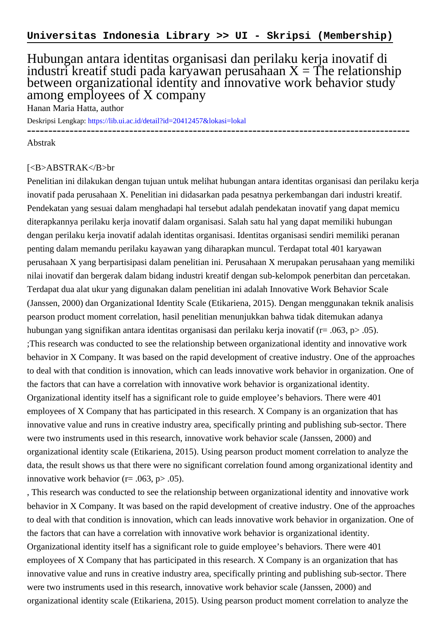## Hubungan antara identitas organisasi dan perilaku kerja inovatif di industri kreatif studi pada karyawan perusahaan  $X = \tilde{T}$ he relationship between organizational identity and innovative work behavior study among employees of X company

Hanan Maria Hatta, author

Deskripsi Lengkap:<https://lib.ui.ac.id/detail?id=20412457&lokasi=lokal>

------------------------------------------------------------------------------------------

Abstrak

## [<B>ABSTRAK</B>br

Penelitian ini dilakukan dengan tujuan untuk melihat hubungan antara identitas organisasi dan perilaku kerja inovatif pada perusahaan X. Penelitian ini didasarkan pada pesatnya perkembangan dari industri kreatif. Pendekatan yang sesuai dalam menghadapi hal tersebut adalah pendekatan inovatif yang dapat memicu diterapkannya perilaku kerja inovatif dalam organisasi. Salah satu hal yang dapat memiliki hubungan dengan perilaku kerja inovatif adalah identitas organisasi. Identitas organisasi sendiri memiliki peranan penting dalam memandu perilaku kayawan yang diharapkan muncul. Terdapat total 401 karyawan perusahaan X yang berpartisipasi dalam penelitian ini. Perusahaan X merupakan perusahaan yang memiliki nilai inovatif dan bergerak dalam bidang industri kreatif dengan sub-kelompok penerbitan dan percetakan. Terdapat dua alat ukur yang digunakan dalam penelitian ini adalah Innovative Work Behavior Scale (Janssen, 2000) dan Organizational Identity Scale (Etikariena, 2015). Dengan menggunakan teknik analisis pearson product moment correlation, hasil penelitian menunjukkan bahwa tidak ditemukan adanya hubungan yang signifikan antara identitas organisasi dan perilaku kerja inovatif (r= .063, p> .05). ;This research was conducted to see the relationship between organizational identity and innovative work behavior in X Company. It was based on the rapid development of creative industry. One of the approaches to deal with that condition is innovation, which can leads innovative work behavior in organization. One of the factors that can have a correlation with innovative work behavior is organizational identity. Organizational identity itself has a significant role to guide employee's behaviors. There were 401 employees of X Company that has participated in this research. X Company is an organization that has innovative value and runs in creative industry area, specifically printing and publishing sub-sector. There were two instruments used in this research, innovative work behavior scale (Janssen, 2000) and organizational identity scale (Etikariena, 2015). Using pearson product moment correlation to analyze the data, the result shows us that there were no significant correlation found among organizational identity and innovative work behavior ( $r = .063$ ,  $p > .05$ ).

, This research was conducted to see the relationship between organizational identity and innovative work behavior in X Company. It was based on the rapid development of creative industry. One of the approaches to deal with that condition is innovation, which can leads innovative work behavior in organization. One of the factors that can have a correlation with innovative work behavior is organizational identity. Organizational identity itself has a significant role to guide employee's behaviors. There were 401 employees of X Company that has participated in this research. X Company is an organization that has innovative value and runs in creative industry area, specifically printing and publishing sub-sector. There were two instruments used in this research, innovative work behavior scale (Janssen, 2000) and organizational identity scale (Etikariena, 2015). Using pearson product moment correlation to analyze the